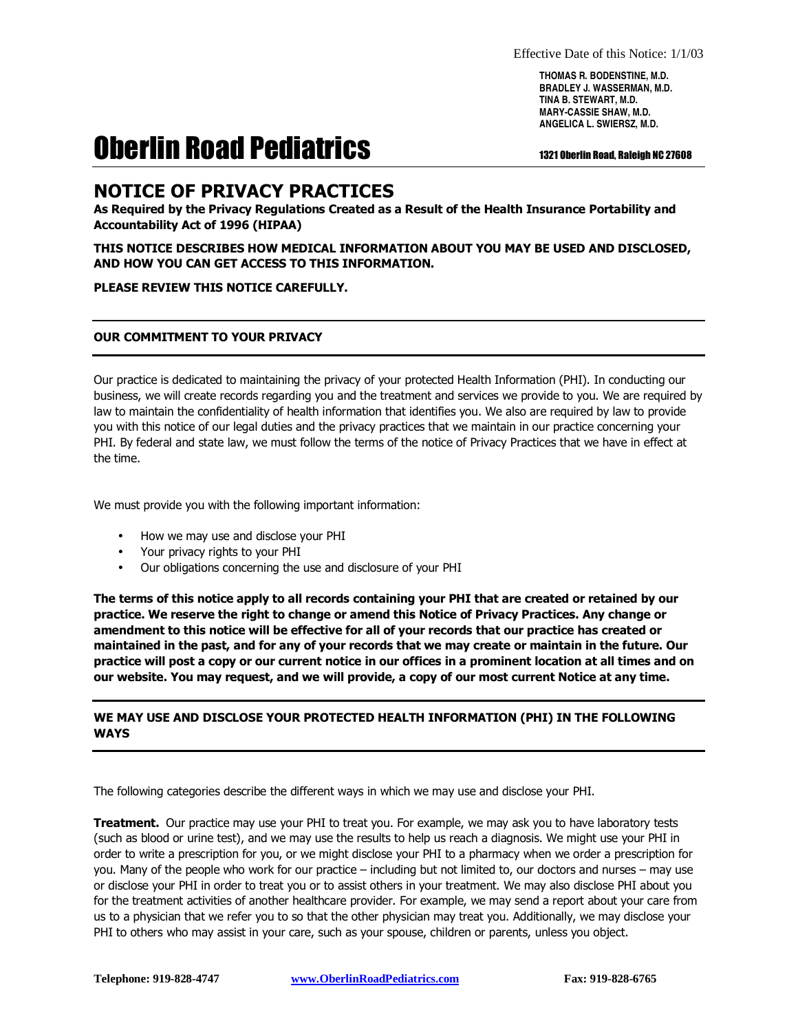**THOMAS R. BODENSTINE, M.D. BRADLEY J. WASSERMAN, M.D. TINA B. STEWART, M.D. MARY-CASSIE SHAW, M.D. ANGELICA L. SWIERSZ, M.D.**

# Oberlin Road Pediatrics **1321 Oberlin Road, Raleigh NC 27608**

## NOTICE OF PRIVACY PRACTICES

As Required by the Privacy Regulations Created as a Result of the Health Insurance Portability and Accountability Act of 1996 (HIPAA)

#### THIS NOTICE DESCRIBES HOW MEDICAL INFORMATION ABOUT YOU MAY BE USED AND DISCLOSED, AND HOW YOU CAN GET ACCESS TO THIS INFORMATION.

#### PLEASE REVIEW THIS NOTICE CAREFULLY.

#### OUR COMMITMENT TO YOUR PRIVACY

Our practice is dedicated to maintaining the privacy of your protected Health Information (PHI). In conducting our business, we will create records regarding you and the treatment and services we provide to you. We are required by law to maintain the confidentiality of health information that identifies you. We also are required by law to provide you with this notice of our legal duties and the privacy practices that we maintain in our practice concerning your PHI. By federal and state law, we must follow the terms of the notice of Privacy Practices that we have in effect at the time.

We must provide you with the following important information:

- How we may use and disclose your PHI
- Your privacy rights to your PHI
- Our obligations concerning the use and disclosure of your PHI

The terms of this notice apply to all records containing your PHI that are created or retained by our practice. We reserve the right to change or amend this Notice of Privacy Practices. Any change or amendment to this notice will be effective for all of your records that our practice has created or maintained in the past, and for any of your records that we may create or maintain in the future. Our practice will post a copy or our current notice in our offices in a prominent location at all times and on our website. You may request, and we will provide, a copy of our most current Notice at any time.

#### WE MAY USE AND DISCLOSE YOUR PROTECTED HEALTH INFORMATION (PHI) IN THE FOLLOWING WAYS

The following categories describe the different ways in which we may use and disclose your PHI.

Treatment. Our practice may use your PHI to treat you. For example, we may ask you to have laboratory tests (such as blood or urine test), and we may use the results to help us reach a diagnosis. We might use your PHI in order to write a prescription for you, or we might disclose your PHI to a pharmacy when we order a prescription for you. Many of the people who work for our practice – including but not limited to, our doctors and nurses – may use or disclose your PHI in order to treat you or to assist others in your treatment. We may also disclose PHI about you for the treatment activities of another healthcare provider. For example, we may send a report about your care from us to a physician that we refer you to so that the other physician may treat you. Additionally, we may disclose your PHI to others who may assist in your care, such as your spouse, children or parents, unless you object.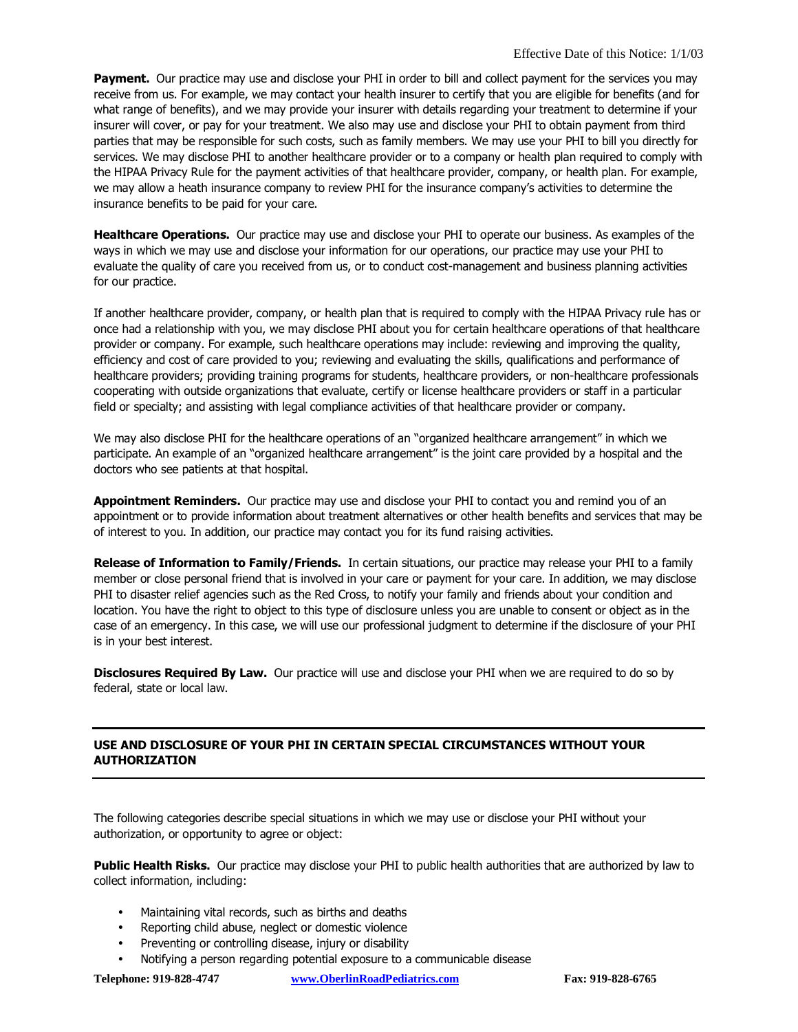Payment. Our practice may use and disclose your PHI in order to bill and collect payment for the services you may receive from us. For example, we may contact your health insurer to certify that you are eligible for benefits (and for what range of benefits), and we may provide your insurer with details regarding your treatment to determine if your insurer will cover, or pay for your treatment. We also may use and disclose your PHI to obtain payment from third parties that may be responsible for such costs, such as family members. We may use your PHI to bill you directly for services. We may disclose PHI to another healthcare provider or to a company or health plan required to comply with the HIPAA Privacy Rule for the payment activities of that healthcare provider, company, or health plan. For example, we may allow a heath insurance company to review PHI for the insurance company's activities to determine the insurance benefits to be paid for your care.

Healthcare Operations. Our practice may use and disclose your PHI to operate our business. As examples of the ways in which we may use and disclose your information for our operations, our practice may use your PHI to evaluate the quality of care you received from us, or to conduct cost-management and business planning activities for our practice.

If another healthcare provider, company, or health plan that is required to comply with the HIPAA Privacy rule has or once had a relationship with you, we may disclose PHI about you for certain healthcare operations of that healthcare provider or company. For example, such healthcare operations may include: reviewing and improving the quality, efficiency and cost of care provided to you; reviewing and evaluating the skills, qualifications and performance of healthcare providers; providing training programs for students, healthcare providers, or non-healthcare professionals cooperating with outside organizations that evaluate, certify or license healthcare providers or staff in a particular field or specialty; and assisting with legal compliance activities of that healthcare provider or company.

We may also disclose PHI for the healthcare operations of an "organized healthcare arrangement" in which we participate. An example of an "organized healthcare arrangement" is the joint care provided by a hospital and the doctors who see patients at that hospital.

Appointment Reminders. Our practice may use and disclose your PHI to contact you and remind you of an appointment or to provide information about treatment alternatives or other health benefits and services that may be of interest to you. In addition, our practice may contact you for its fund raising activities.

Release of Information to Family/Friends. In certain situations, our practice may release your PHI to a family member or close personal friend that is involved in your care or payment for your care. In addition, we may disclose PHI to disaster relief agencies such as the Red Cross, to notify your family and friends about your condition and location. You have the right to object to this type of disclosure unless you are unable to consent or object as in the case of an emergency. In this case, we will use our professional judgment to determine if the disclosure of your PHI is in your best interest.

Disclosures Required By Law. Our practice will use and disclose your PHI when we are required to do so by federal, state or local law.

### USE AND DISCLOSURE OF YOUR PHI IN CERTAIN SPECIAL CIRCUMSTANCES WITHOUT YOUR AUTHORIZATION

The following categories describe special situations in which we may use or disclose your PHI without your authorization, or opportunity to agree or object:

Public Health Risks. Our practice may disclose your PHI to public health authorities that are authorized by law to collect information, including:

- Maintaining vital records, such as births and deaths
- Reporting child abuse, neglect or domestic violence
- Preventing or controlling disease, injury or disability
- Notifying a person regarding potential exposure to a communicable disease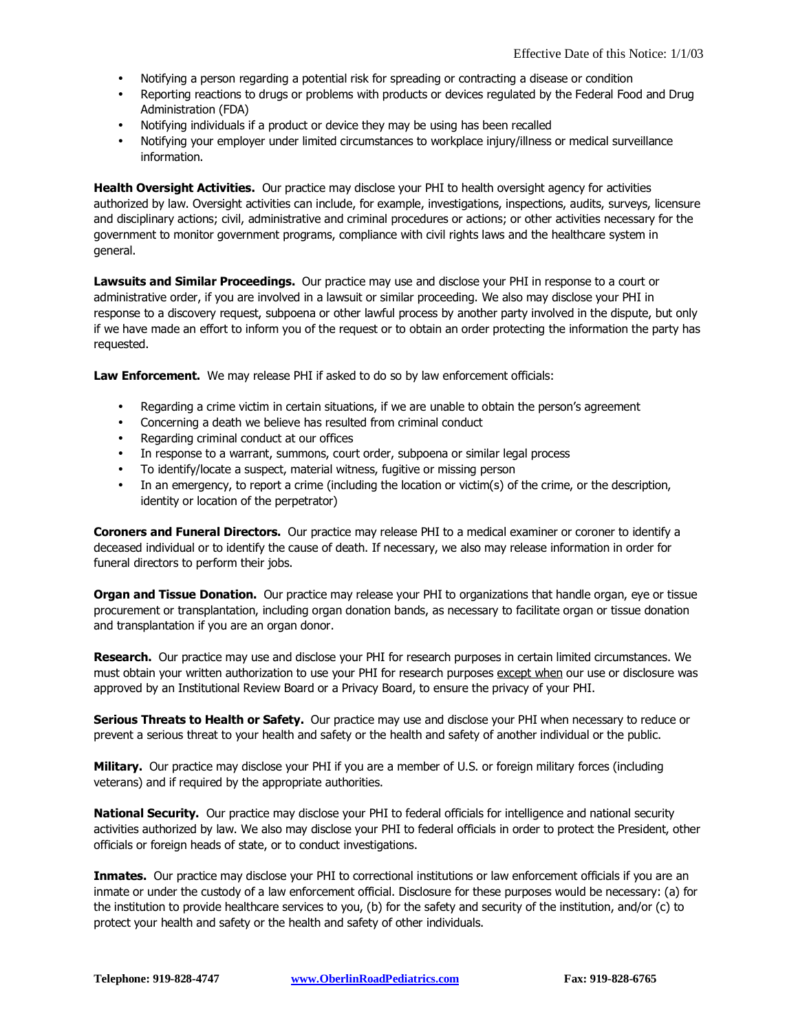- Notifying a person regarding a potential risk for spreading or contracting a disease or condition
- Reporting reactions to drugs or problems with products or devices regulated by the Federal Food and Drug Administration (FDA)
- Notifying individuals if a product or device they may be using has been recalled
- Notifying your employer under limited circumstances to workplace injury/illness or medical surveillance information.

Health Oversight Activities. Our practice may disclose your PHI to health oversight agency for activities authorized by law. Oversight activities can include, for example, investigations, inspections, audits, surveys, licensure and disciplinary actions; civil, administrative and criminal procedures or actions; or other activities necessary for the government to monitor government programs, compliance with civil rights laws and the healthcare system in general.

Lawsuits and Similar Proceedings. Our practice may use and disclose your PHI in response to a court or administrative order, if you are involved in a lawsuit or similar proceeding. We also may disclose your PHI in response to a discovery request, subpoena or other lawful process by another party involved in the dispute, but only if we have made an effort to inform you of the request or to obtain an order protecting the information the party has requested.

Law Enforcement. We may release PHI if asked to do so by law enforcement officials:

- Regarding a crime victim in certain situations, if we are unable to obtain the person's agreement
- Concerning a death we believe has resulted from criminal conduct
- Regarding criminal conduct at our offices
- In response to a warrant, summons, court order, subpoena or similar legal process
- To identify/locate a suspect, material witness, fugitive or missing person
- In an emergency, to report a crime (including the location or victim(s) of the crime, or the description, identity or location of the perpetrator)

Coroners and Funeral Directors. Our practice may release PHI to a medical examiner or coroner to identify a deceased individual or to identify the cause of death. If necessary, we also may release information in order for funeral directors to perform their jobs.

Organ and Tissue Donation. Our practice may release your PHI to organizations that handle organ, eye or tissue procurement or transplantation, including organ donation bands, as necessary to facilitate organ or tissue donation and transplantation if you are an organ donor.

Research. Our practice may use and disclose your PHI for research purposes in certain limited circumstances. We must obtain your written authorization to use your PHI for research purposes except when our use or disclosure was approved by an Institutional Review Board or a Privacy Board, to ensure the privacy of your PHI.

Serious Threats to Health or Safety. Our practice may use and disclose your PHI when necessary to reduce or prevent a serious threat to your health and safety or the health and safety of another individual or the public.

Military. Our practice may disclose your PHI if you are a member of U.S. or foreign military forces (including veterans) and if required by the appropriate authorities.

National Security. Our practice may disclose your PHI to federal officials for intelligence and national security activities authorized by law. We also may disclose your PHI to federal officials in order to protect the President, other officials or foreign heads of state, or to conduct investigations.

Inmates. Our practice may disclose your PHI to correctional institutions or law enforcement officials if you are an inmate or under the custody of a law enforcement official. Disclosure for these purposes would be necessary: (a) for the institution to provide healthcare services to you, (b) for the safety and security of the institution, and/or (c) to protect your health and safety or the health and safety of other individuals.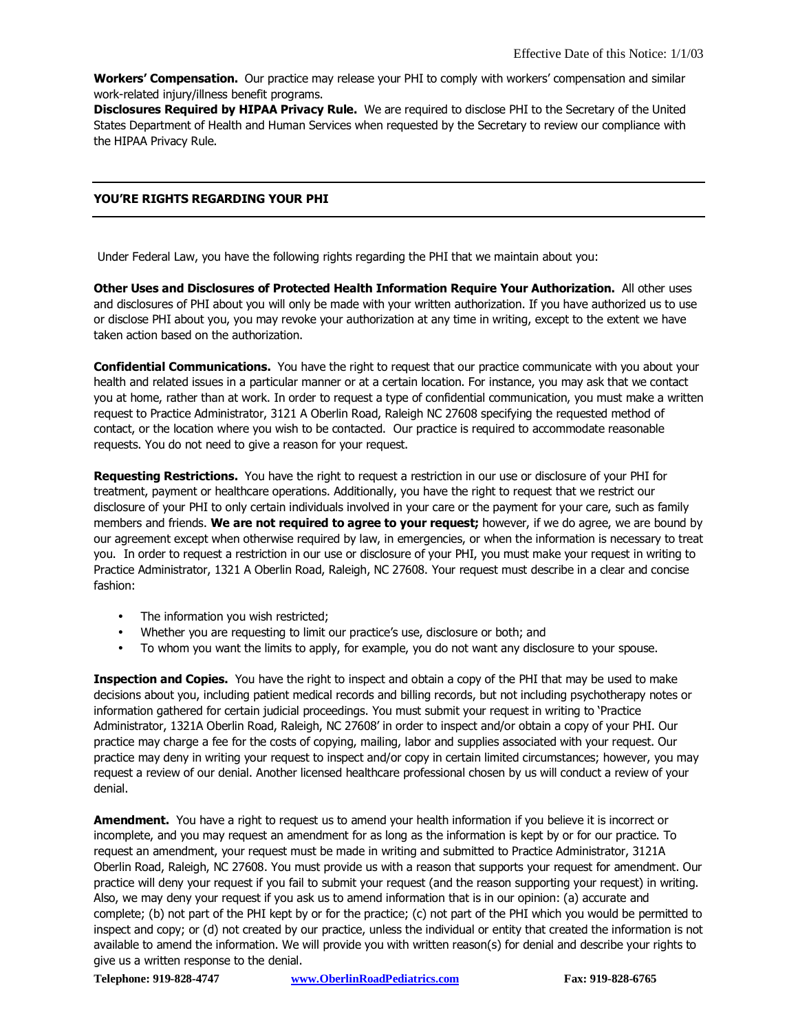Workers' Compensation. Our practice may release your PHI to comply with workers' compensation and similar work-related injury/illness benefit programs.

**Disclosures Required by HIPAA Privacy Rule.** We are required to disclose PHI to the Secretary of the United States Department of Health and Human Services when requested by the Secretary to review our compliance with the HIPAA Privacy Rule.

#### YOU'RE RIGHTS REGARDING YOUR PHI

Under Federal Law, you have the following rights regarding the PHI that we maintain about you:

Other Uses and Disclosures of Protected Health Information Require Your Authorization. All other uses and disclosures of PHI about you will only be made with your written authorization. If you have authorized us to use or disclose PHI about you, you may revoke your authorization at any time in writing, except to the extent we have taken action based on the authorization.

**Confidential Communications.** You have the right to request that our practice communicate with you about your health and related issues in a particular manner or at a certain location. For instance, you may ask that we contact you at home, rather than at work. In order to request a type of confidential communication, you must make a written request to Practice Administrator, 3121 A Oberlin Road, Raleigh NC 27608 specifying the requested method of contact, or the location where you wish to be contacted. Our practice is required to accommodate reasonable requests. You do not need to give a reason for your request.

Requesting Restrictions. You have the right to request a restriction in our use or disclosure of your PHI for treatment, payment or healthcare operations. Additionally, you have the right to request that we restrict our disclosure of your PHI to only certain individuals involved in your care or the payment for your care, such as family members and friends. We are not required to agree to your request; however, if we do agree, we are bound by our agreement except when otherwise required by law, in emergencies, or when the information is necessary to treat you. In order to request a restriction in our use or disclosure of your PHI, you must make your request in writing to Practice Administrator, 1321 A Oberlin Road, Raleigh, NC 27608. Your request must describe in a clear and concise fashion:

- The information you wish restricted;
- Whether you are requesting to limit our practice's use, disclosure or both; and
- To whom you want the limits to apply, for example, you do not want any disclosure to your spouse.

Inspection and Copies. You have the right to inspect and obtain a copy of the PHI that may be used to make decisions about you, including patient medical records and billing records, but not including psychotherapy notes or information gathered for certain judicial proceedings. You must submit your request in writing to 'Practice Administrator, 1321A Oberlin Road, Raleigh, NC 27608' in order to inspect and/or obtain a copy of your PHI. Our practice may charge a fee for the costs of copying, mailing, labor and supplies associated with your request. Our practice may deny in writing your request to inspect and/or copy in certain limited circumstances; however, you may request a review of our denial. Another licensed healthcare professional chosen by us will conduct a review of your denial.

**Amendment.** You have a right to request us to amend your health information if you believe it is incorrect or incomplete, and you may request an amendment for as long as the information is kept by or for our practice. To request an amendment, your request must be made in writing and submitted to Practice Administrator, 3121A Oberlin Road, Raleigh, NC 27608. You must provide us with a reason that supports your request for amendment. Our practice will deny your request if you fail to submit your request (and the reason supporting your request) in writing. Also, we may deny your request if you ask us to amend information that is in our opinion: (a) accurate and complete; (b) not part of the PHI kept by or for the practice; (c) not part of the PHI which you would be permitted to inspect and copy; or (d) not created by our practice, unless the individual or entity that created the information is not available to amend the information. We will provide you with written reason(s) for denial and describe your rights to give us a written response to the denial.